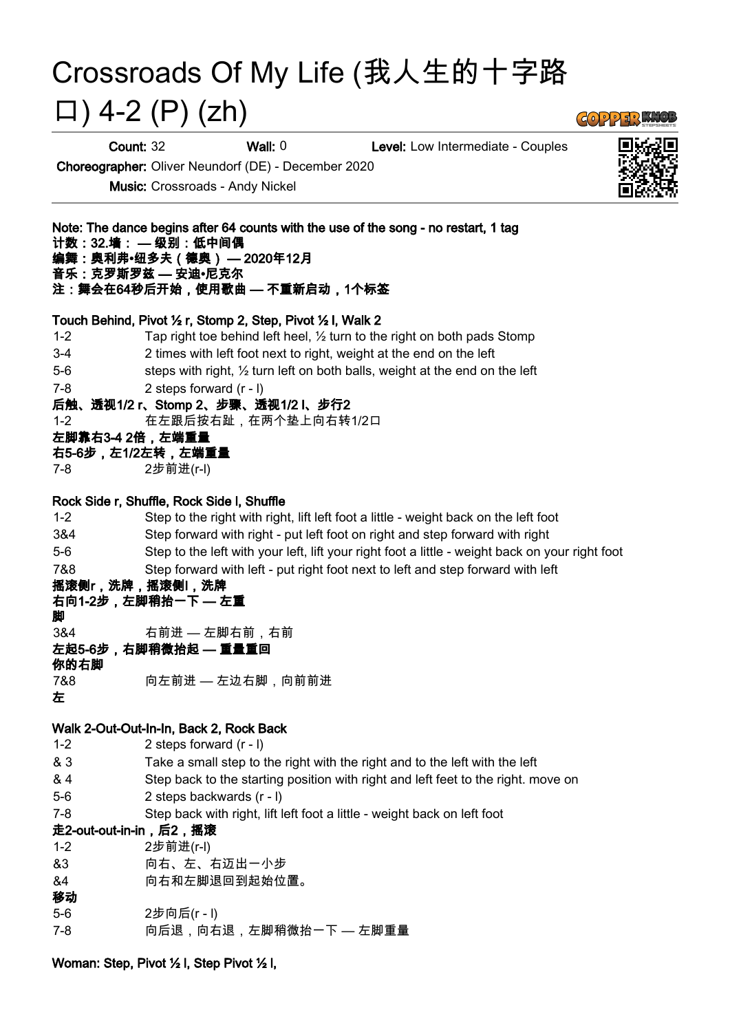|          |                                                                                 |                                                                              | Crossroads Of My Life (我人生的十字路                                                                  |       |  |
|----------|---------------------------------------------------------------------------------|------------------------------------------------------------------------------|-------------------------------------------------------------------------------------------------|-------|--|
|          | $\Box$ ) 4-2 (P) (zh)                                                           |                                                                              |                                                                                                 | G0225 |  |
|          | Count: 32                                                                       | Wall: $0$                                                                    | Level: Low Intermediate - Couples                                                               |       |  |
|          |                                                                                 | <b>Choreographer: Oliver Neundorf (DE) - December 2020</b>                   |                                                                                                 |       |  |
|          | Music: Crossroads - Andy Nickel                                                 |                                                                              |                                                                                                 |       |  |
|          |                                                                                 |                                                                              |                                                                                                 |       |  |
|          | 计数:32.墙: — 级别:低中间偶<br>音乐:克罗斯罗兹 — 安迪•尼克尔                                         | 编舞:奥利弗•纽多夫(德奥) — 2020年12月<br>注:舞会在64秒后开始,使用歌曲 — 不重新启动,1个标签                   | Note: The dance begins after 64 counts with the use of the song - no restart, 1 tag             |       |  |
|          |                                                                                 | Touch Behind, Pivot 1/2 r, Stomp 2, Step, Pivot 1/2 I, Walk 2                |                                                                                                 |       |  |
| $1 - 2$  |                                                                                 |                                                                              | Tap right toe behind left heel, $\frac{1}{2}$ turn to the right on both pads Stomp              |       |  |
| $3 - 4$  |                                                                                 |                                                                              | 2 times with left foot next to right, weight at the end on the left                             |       |  |
| $5-6$    | steps with right, 1/2 turn left on both balls, weight at the end on the left    |                                                                              |                                                                                                 |       |  |
| $7 - 8$  | 2 steps forward $(r - I)$                                                       |                                                                              |                                                                                                 |       |  |
|          |                                                                                 | 后触、透视1/2 r、Stomp 2、步骤、透视1/2 l、步行2                                            |                                                                                                 |       |  |
| $1 - 2$  |                                                                                 | 在左跟后按右趾,在两个垫上向右转1/2口                                                         |                                                                                                 |       |  |
|          | 左脚靠右3-4 2倍,左端重量                                                                 |                                                                              |                                                                                                 |       |  |
|          | 右5-6步,左1/2左转,左端重量                                                               |                                                                              |                                                                                                 |       |  |
| $7-8$    | 2步前进(r-l)                                                                       |                                                                              |                                                                                                 |       |  |
|          | Rock Side r, Shuffle, Rock Side I, Shuffle                                      |                                                                              |                                                                                                 |       |  |
| $1 - 2$  |                                                                                 |                                                                              | Step to the right with right, lift left foot a little - weight back on the left foot            |       |  |
| 3&4      |                                                                                 | Step forward with right - put left foot on right and step forward with right |                                                                                                 |       |  |
| $5-6$    |                                                                                 |                                                                              | Step to the left with your left, lift your right foot a little - weight back on your right foot |       |  |
| 7&8      | Step forward with left - put right foot next to left and step forward with left |                                                                              |                                                                                                 |       |  |
|          | 摇滚侧r,洗牌,摇滚侧l,洗牌                                                                 |                                                                              |                                                                                                 |       |  |
| 脚        | 右向1-2步,左脚稍抬一下 — 左重                                                              |                                                                              |                                                                                                 |       |  |
| 3&4      |                                                                                 | 右前进 — 左脚右前,右前                                                                |                                                                                                 |       |  |
|          | 左起5-6步,右脚稍微抬起 — 重量重回                                                            |                                                                              |                                                                                                 |       |  |
| 你的右脚     |                                                                                 |                                                                              |                                                                                                 |       |  |
| 7&8<br>左 |                                                                                 | 向左前进 — 左边右脚,向前前进                                                             |                                                                                                 |       |  |
|          |                                                                                 |                                                                              |                                                                                                 |       |  |
|          | Walk 2-Out-Out-In-In, Back 2, Rock Back                                         |                                                                              |                                                                                                 |       |  |
| $1 - 2$  | 2 steps forward $(r - I)$                                                       |                                                                              |                                                                                                 |       |  |
| & 3      |                                                                                 |                                                                              | Take a small step to the right with the right and to the left with the left                     |       |  |
| & 4      |                                                                                 |                                                                              | Step back to the starting position with right and left feet to the right. move on               |       |  |
| $5-6$    |                                                                                 | 2 steps backwards (r - l)                                                    |                                                                                                 |       |  |
| $7 - 8$  |                                                                                 |                                                                              | Step back with right, lift left foot a little - weight back on left foot                        |       |  |
|          | 走2-out-out-in-in,后2,摇滚                                                          |                                                                              |                                                                                                 |       |  |
| $1 - 2$  | 2步前进(r-l)                                                                       |                                                                              |                                                                                                 |       |  |
| &3       |                                                                                 | 向右、左、右迈出一小步                                                                  |                                                                                                 |       |  |
| &4<br>移动 |                                                                                 | 向右和左脚退回到起始位置。                                                                |                                                                                                 |       |  |
| $5-6$    | 2步向后(r-l)                                                                       |                                                                              |                                                                                                 |       |  |
| $7 - 8$  |                                                                                 | 向后退,向右退,左脚稍微抬一下 — 左脚重量                                                       |                                                                                                 |       |  |
|          |                                                                                 |                                                                              |                                                                                                 |       |  |

Woman: Step, Pivot 1/2 l, Step Pivot 1/2 l,